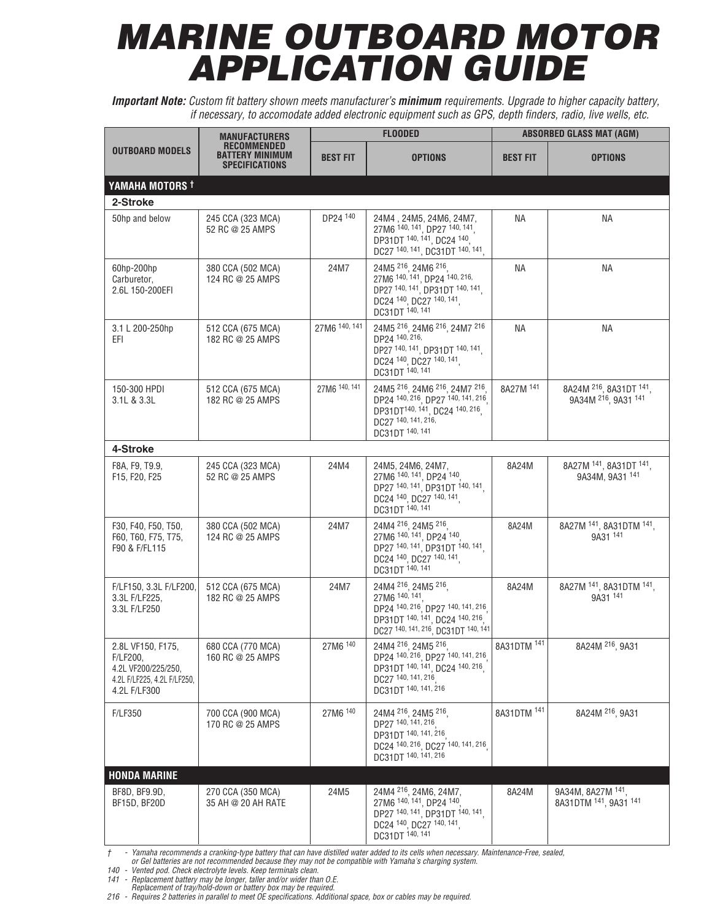## *MARINE OUTBOARD MOTOR APPLICATION GUIDE*

*Important Note: Custom fit battery shown meets manufacturer's minimum requirements. Upgrade to higher capacity battery, if necessary, to accomodate added electronic equipment such as GPS, depth finders, radio, live wells, etc.*

| <b>OUTBOARD MODELS</b>                                                                              | <b>MANUFACTURERS</b><br>RECOMMENDED<br><b>BATTERY MINIMUM</b><br><b>SPECIFICATIONS</b> | <b>FLOODED</b>  |                                                                                                                                                                       | <b>ABSORBED GLASS MAT (AGM)</b> |                                                                       |
|-----------------------------------------------------------------------------------------------------|----------------------------------------------------------------------------------------|-----------------|-----------------------------------------------------------------------------------------------------------------------------------------------------------------------|---------------------------------|-----------------------------------------------------------------------|
|                                                                                                     |                                                                                        | <b>BEST FIT</b> | <b>OPTIONS</b>                                                                                                                                                        | <b>BEST FIT</b>                 | <b>OPTIONS</b>                                                        |
| YAMAHA MOTORS <sup>†</sup>                                                                          |                                                                                        |                 |                                                                                                                                                                       |                                 |                                                                       |
| 2-Stroke                                                                                            |                                                                                        |                 |                                                                                                                                                                       |                                 |                                                                       |
| 50hp and below                                                                                      | 245 CCA (323 MCA)<br>52 RC @ 25 AMPS                                                   | DP24 140        | 24M4, 24M5, 24M6, 24M7,<br>27M6 140, 141, DP27 140, 141,<br>DP31DT 140, 141, DC24 140,<br>DC27 140, 141, DC31DT 140, 141,                                             | <b>NA</b>                       | <b>NA</b>                                                             |
| 60hp-200hp<br>Carburetor,<br>2.6L 150-200EFI                                                        | 380 CCA (502 MCA)<br>124 RC @ 25 AMPS                                                  | 24M7            | 24M5 216, 24M6 216,<br>27M6 140, 141, DP24 140, 216,<br>DP27 140, 141, DP31DT 140, 141,<br>DC24 140, DC27 140, 141<br>DC31DT 140, 141                                 | <b>NA</b>                       | <b>NA</b>                                                             |
| 3.1 L 200-250hp<br>EFI.                                                                             | 512 CCA (675 MCA)<br>182 RC @ 25 AMPS                                                  | 27M6 140, 141   | 24M5 216, 24M6 216, 24M7 216<br>DP24 140, 216,<br>DP27 140, 141, DP31DT 140, 141,<br>DC24 140, DC27 140, 141,<br>DC31DT 140, 141                                      | <b>NA</b>                       | <b>NA</b>                                                             |
| 150-300 HPDI<br>3.1L & 3.3L                                                                         | 512 CCA (675 MCA)<br>182 RC @ 25 AMPS                                                  | 27M6 140, 141   | 24M5 216, 24M6 216, 24M7 216,<br>DP24 140, 216, DP27 140, 141, 216<br>DP31DT <sup>140, 141</sup> , DC24 <sup>140, 216</sup><br>DC27 140, 141, 216,<br>DC31DT 140, 141 | 8A27M 141                       | 8A24M <sup>216</sup> , 8A31DT <sup>141</sup> ,<br>9A34M 216, 9A31 141 |
| 4-Stroke                                                                                            |                                                                                        |                 |                                                                                                                                                                       |                                 |                                                                       |
| F8A, F9, T9.9,<br>F15, F20, F25                                                                     | 245 CCA (323 MCA)<br>52 RC @ 25 AMPS                                                   | 24M4            | 24M5, 24M6, 24M7,<br>27M6 140, 141, DP24 140,<br>DP27 140, 141, DP31DT 140, 141,<br>DC24 140, DC27 140, 141,<br>DC31DT 140, 141                                       | 8A24M                           | 8A27M 141, 8A31DT 141,<br>9A34M, 9A31 141                             |
| F30, F40, F50, T50,<br>F60, T60, F75, T75,<br>F90 & F/FL115                                         | 380 CCA (502 MCA)<br>124 RC @ 25 AMPS                                                  | 24M7            | 24M4 216, 24M5 216,<br>27M6 140, 141, DP24 140,<br>DP27 140, 141, DP31DT 140, 141.<br>DC24 140, DC27 140, 141,<br>DC31DT 140, 141                                     | 8A24M                           | 8A27M 141, 8A31DTM 141,<br>9A31 141                                   |
| F/LF150, 3.3L F/LF200,<br>3.3L F/LF225,<br>3.3L F/LF250                                             | 512 CCA (675 MCA)<br>182 RC @ 25 AMPS                                                  | 24M7            | 24M4 216, 24M5 216,<br>27M6 140, 141<br>DP24 140, 216, DP27 140, 141, 216<br>DP31DT 140, 141, DC24 140, 216<br>DC27 140, 141, 216, DC31DT 140, 141                    | 8A24M                           | 8A27M 141, 8A31DTM 141,<br>9A31 141                                   |
| 2.8L VF150, F175,<br>F/LF200,<br>4.2L VF200/225/250,<br>4.2L F/LF225, 4.2L F/LF250,<br>4.2L F/LF300 | 680 CCA (770 MCA)<br>160 RC @ 25 AMPS                                                  | 27M6 140        | 24M4 216, 24M5 216,<br>DP24 140, 216, DP27 140, 141, 216<br>DP31DT 140, 141, DC24 140, 216.<br>DC27 140, 141, 216<br>DC31DT 140, 141, 216                             | 8A31DTM 141                     | 8A24M 216, 9A31                                                       |
| <b>F/LF350</b>                                                                                      | 700 CCA (900 MCA)<br>170 RC @ 25 AMPS                                                  | 27M6 140        | 24M4 216, 24M5 216<br>DP27 140, 141, 216<br>DP31DT 140, 141, 216<br>DC24 140, 216, DC27 140, 141, 216<br>DC31DT 140, 141, 216                                         | 8A31DTM 141                     | 8A24M <sup>216</sup> , 9A31                                           |
| <b>HONDA MARINE</b>                                                                                 |                                                                                        |                 |                                                                                                                                                                       |                                 |                                                                       |
| BF8D, BF9.9D,<br>BF15D, BF20D                                                                       | 270 CCA (350 MCA)<br>35 AH @ 20 AH RATE                                                | 24M5            | 24M4 <sup>216</sup> , 24M6, 24M7,<br>27M6 140, 141, DP24 140,<br>DP27 140, 141, DP31DT 140, 141,<br>DC24 140, DC27 140, 141,<br>DC31DT 140, 141                       | 8A24M                           | 9A34M, 8A27M 141,<br>8A31DTM 141, 9A31 141                            |

† - Yamaha recommends a cranking-type battery that can have distilled water added to its cells when necessary. Maintenance-Free, sealed,<br>or Gel batteries are not recommended because they may not be compatible with Yamaha's

*140 - Vented pod. Check electrolyte levels. Keep terminals clean.*

141 - Replacement battery may be longer, taller and/or wider than O.E.<br>Replacement of tray/hold-down or battery box may be required.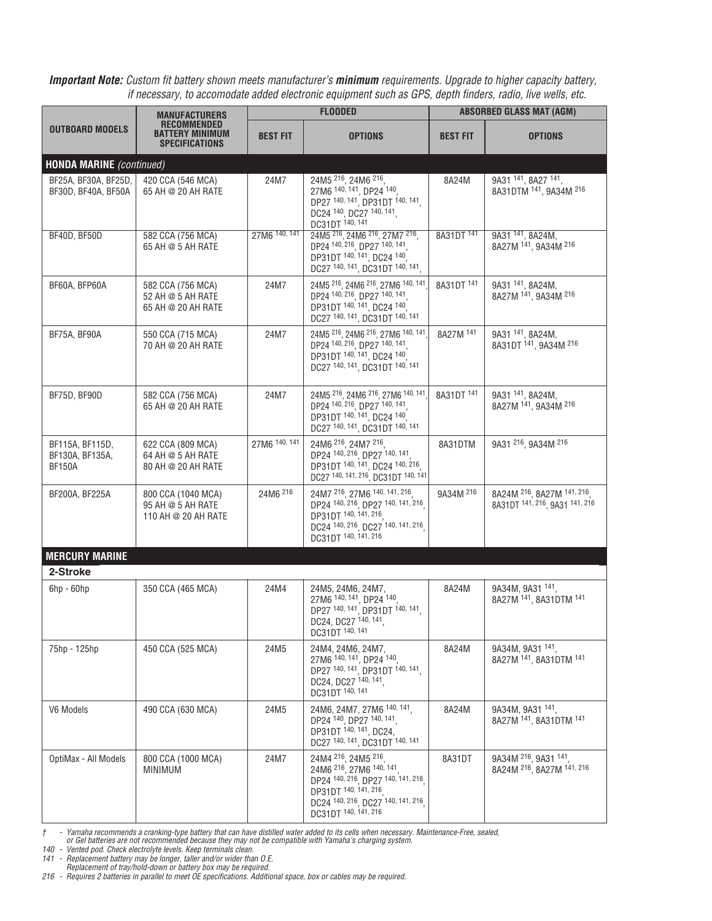| <b>OUTBOARD MODELS</b>                              | <b>MANUFACTURERS</b><br><b>RECOMMENDED</b><br><b>BATTERY MINIMUM</b><br><b>SPECIFICATIONS</b> | <b>FLOODED</b>  |                                                                                                                                                                           | <b>ABSORBED GLASS MAT (AGM)</b> |                                                              |
|-----------------------------------------------------|-----------------------------------------------------------------------------------------------|-----------------|---------------------------------------------------------------------------------------------------------------------------------------------------------------------------|---------------------------------|--------------------------------------------------------------|
|                                                     |                                                                                               | <b>BEST FIT</b> | <b>OPTIONS</b>                                                                                                                                                            | <b>BEST FIT</b>                 | <b>OPTIONS</b>                                               |
| <b>HONDA MARINE</b> (continued)                     |                                                                                               |                 |                                                                                                                                                                           |                                 |                                                              |
| BF25A, BF30A, BF25D,<br>BF30D, BF40A, BF50A         | 420 CCA (546 MCA)<br>65 AH @ 20 AH RATE                                                       | 24M7            | 24M5 216, 24M6 216,<br>27M6 140, 141, DP24 140,<br>DP27 140, 141, DP31DT 140, 141,<br>DC24 140, DC27 140, 141,<br>DC31DT 140, 141                                         | 8A24M                           | 9A31 141, 8A27 141,<br>8A31DTM 141, 9A34M 216                |
| BF40D, BF50D                                        | 582 CCA (756 MCA)<br>65 AH @ 5 AH RATE                                                        | 27M6 140, 141   | 24M5 216, 24M6 216, 27M7 216,<br>DP24 140, 216, DP27 140, 141<br>DP31DT 140, 141, DC24 140,<br>DC27 140, 141, DC31DT 140, 141,                                            | 8A31DT 141                      | 9A31 141, 8A24M,<br>8A27M 141, 9A34M 216                     |
| BF60A, BFP60A                                       | 582 CCA (756 MCA)<br>52 AH @ 5 AH RATE<br>65 AH @ 20 AH RATE                                  | 24M7            | 24M5 216, 24M6 216, 27M6 140, 141,<br>DP24 140, 216, DP27 140, 141,<br>DP31DT 140, 141, DC24 140.<br>DC27 140, 141, DC31DT 140, 141                                       | 8A31DT 141                      | 9A31 141, 8A24M,<br>8A27M 141, 9A34M 216                     |
| BF75A, BF90A                                        | 550 CCA (715 MCA)<br>70 AH @ 20 AH RATE                                                       | 24M7            | 24M5 216, 24M6 216, 27M6 140, 141,<br>DP24 140, 216, DP27 140, 141,<br>DP31DT 140, 141, DC24 140<br>DC27 140, 141, DC31DT 140, 141                                        | 8A27M 141                       | 9A31 141, 8A24M,<br>8A31DT 141, 9A34M 216                    |
| BF75D, BF90D                                        | 582 CCA (756 MCA)<br>65 AH @ 20 AH RATE                                                       | 24M7            | 24M5 216, 24M6 216, 27M6 140, 141,<br>DP24 140, 216, DP27 140, 141<br>DP31DT 140, 141, DC24 140.<br>DC27 140, 141, DC31DT 140, 141                                        | 8A31DT 141                      | 9A31 141, 8A24M,<br>8A27M 141, 9A34M 216                     |
| BF115A, BF115D,<br>BF130A, BF135A,<br><b>BF150A</b> | 622 CCA (809 MCA)<br>64 AH @ 5 AH RATE<br>80 AH @ 20 AH RATE                                  | 27M6 140, 141   | 24M6 216, 24M7 216,<br>DP24 140, 216, DP27 140, 141<br>DP31DT 140, 141, DC24 140, 216<br>DC27 140, 141, 216, DC31DT 140, 141                                              | 8A31DTM                         | 9A31 216, 9A34M 216                                          |
| BF200A, BF225A                                      | 800 CCA (1040 MCA)<br>95 AH @ 5 AH RATE<br>110 AH @ 20 AH RATE                                | 24M6 216        | 24M7 216, 27M6 140, 141, 216<br>DP24 140, 216, DP27 140, 141, 216<br>DP31DT 140, 141, 216<br>DC24 140, 216, DC27 140, 141, 216<br>DC31DT 140, 141, 216                    | 9A34M 216                       | 8A24M 216, 8A27M 141, 216,<br>8A31DT 141, 216, 9A31 141, 216 |
| <b>MERCURY MARINE</b>                               |                                                                                               |                 |                                                                                                                                                                           |                                 |                                                              |
| 2-Stroke                                            |                                                                                               |                 |                                                                                                                                                                           |                                 |                                                              |
| $6$ hp - $60$ hp                                    | 350 CCA (465 MCA)                                                                             | 24M4            | 24M5, 24M6, 24M7,<br>27M6 140, 141, DP24 140,<br>DP27 140, 141, DP31DT 140, 141,<br>DC24, DC27 140, 141<br>DC31DT 140, 141                                                | 8A24M                           | 9A34M, 9A31 141,<br>8A27M 141, 8A31DTM 141                   |
| 75hp - 125hp                                        | 450 CCA (525 MCA)                                                                             | 24M5            | 24M4, 24M6, 24M7,<br>27M6 140, 141, DP24 140<br>DP27 140, 141, DP31DT 140, 141,<br>DC24, DC27 140, 141<br>DC31DT 140, 141                                                 | 8A24M                           | 9A34M, 9A31 141,<br>8A27M 141, 8A31DTM 141                   |
| V6 Models                                           | 490 CCA (630 MCA)                                                                             | 24M5            | 24M6, 24M7, 27M6 140, 141,<br>DP24 140, DP27 140, 141<br>DP31DT 140, 141, DC24,<br>DC27 140, 141, DC31DT 140, 141                                                         | 8A24M                           | 9A34M, 9A31 141,<br>8A27M 141, 8A31DTM 141                   |
| OptiMax - All Models                                | 800 CCA (1000 MCA)<br><b>MINIMUM</b>                                                          | 24M7            | 24M4 216, 24M5 216,<br>24M6 216, 27M6 140, 141,<br>DP24 140, 216, DP27 140, 141, 216<br>DP31DT 140, 141, 216<br>DC24 140, 216, DC27 140, 141, 216<br>DC31DT 140, 141, 216 | 8A31DT                          | 9A34M 216, 9A31 141,<br>8A24M 216, 8A27M 141, 216            |

† - Yamaha recommends a cranking-type battery that can have distilled water added to its cells when necessary. Maintenance-Free, sealed,<br>or Gel batteries are not recommended because they may not be compatible with Yamaha's

*140 - Vented pod. Check electrolyte levels. Keep terminals clean.*

141 - Replacement battery may be longer, taller and/or wider than O.E.<br>Replacement of tray/hold-down or battery box may be required.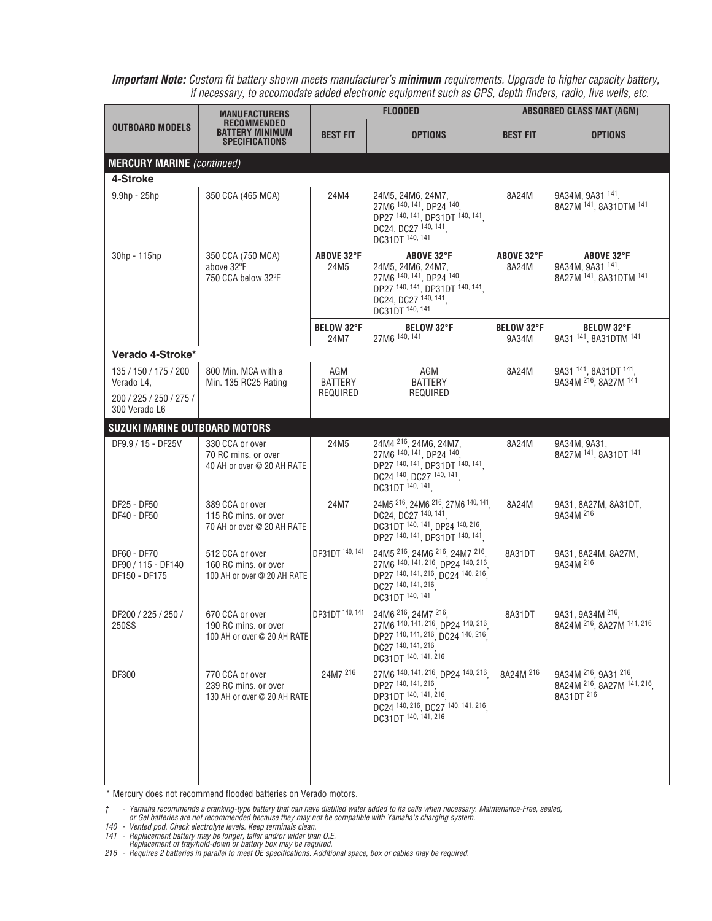| OUTBOARD MODELS                                    | <b>MANUFACTURERS</b><br><b>RECOMMENDED</b><br><b>BATTERY MINIMUM</b><br><b>SPECIFICATIONS</b> |                           | <b>FLOODED</b>                                                                                                                                   | <b>ABSORBED GLASS MAT (AGM)</b> |                                                                 |
|----------------------------------------------------|-----------------------------------------------------------------------------------------------|---------------------------|--------------------------------------------------------------------------------------------------------------------------------------------------|---------------------------------|-----------------------------------------------------------------|
|                                                    |                                                                                               | <b>BEST FIT</b>           | <b>OPTIONS</b>                                                                                                                                   | <b>BEST FIT</b>                 | <b>OPTIONS</b>                                                  |
| <b>MERCURY MARINE</b> (continued)                  |                                                                                               |                           |                                                                                                                                                  |                                 |                                                                 |
| 4-Stroke                                           |                                                                                               |                           |                                                                                                                                                  |                                 |                                                                 |
| $9.9hp - 25hp$                                     | 350 CCA (465 MCA)                                                                             | 24M4                      | 24M5, 24M6, 24M7,<br>27M6 140, 141, DP24 140,<br>DP27 140, 141, DP31DT 140, 141,<br>DC24, DC27 140, 141<br>DC31DT 140, 141                       | 8A24M                           | 9A34M, 9A31 141,<br>8A27M 141, 8A31DTM 141                      |
| 30hp - 115hp                                       | 350 CCA (750 MCA)<br>above 32°F<br>750 CCA below 32°F                                         | ABOVE 32°F<br>24M5        | ABOVE 32°F<br>24M5, 24M6, 24M7,<br>27M6 140, 141, DP24 140,<br>DP27 140, 141, DP31DT 140, 141,<br>DC24, DC27 140, 141,<br>DC31DT 140, 141        | ABOVE 32°F<br>8A24M             | ABOVE 32°F<br>9A34M, 9A31 141,<br>8A27M 141, 8A31DTM 141        |
|                                                    |                                                                                               | <b>BELOW 32°F</b><br>24M7 | <b>BELOW 32°F</b><br>27M6 140, 141                                                                                                               | <b>BELOW 32°F</b><br>9A34M      | <b>BELOW 32°F</b><br>9A31 141, 8A31DTM 141                      |
| Verado 4-Stroke*                                   |                                                                                               |                           |                                                                                                                                                  |                                 |                                                                 |
| 135 / 150 / 175 / 200<br>Verado L4,                | 800 Min. MCA with a<br>Min. 135 RC25 Rating                                                   | AGM<br><b>BATTERY</b>     | AGM<br><b>BATTERY</b>                                                                                                                            | 8A24M                           | 9A31 141, 8A31DT 141,<br>9A34M 216, 8A27M 141                   |
| 200 / 225 / 250 / 275 /<br>300 Verado L6           |                                                                                               | REQUIRED                  | REQUIRED                                                                                                                                         |                                 |                                                                 |
| <b>SUZUKI MARINE OUTBOARD MOTORS</b>               |                                                                                               |                           |                                                                                                                                                  |                                 |                                                                 |
| DF9.9 / 15 - DF25V                                 | 330 CCA or over<br>70 RC mins. or over<br>40 AH or over @ 20 AH RATE                          | 24M5                      | 24M4 216, 24M6, 24M7,<br>27M6 140, 141, DP24 140,<br>DP27 140, 141, DP31DT 140, 141,<br>DC24 140, DC27 140, 141,<br>DC31DT 140, 141              | 8A24M                           | 9A34M, 9A31,<br>8A27M 141, 8A31DT 141                           |
| DF25 - DF50<br>DF40 - DF50                         | 389 CCA or over<br>115 RC mins. or over<br>70 AH or over @ 20 AH RATE                         | 24M7                      | 24M5 216, 24M6 216, 27M6 140, 141<br>DC24, DC27 140, 141.<br>DC31DT 140, 141, DP24 140, 216,<br>DP27 140, 141, DP31DT 140, 141,                  | 8A24M                           | 9A31, 8A27M, 8A31DT,<br>9A34M 216                               |
| DF60 - DF70<br>DF90 / 115 - DF140<br>DF150 - DF175 | 512 CCA or over<br>160 RC mins, or over<br>100 AH or over @ 20 AH RATE                        | DP31DT 140, 141           | 24M5 216, 24M6 216, 24M7 216,<br>27M6 140, 141, 216, DP24 140, 216<br>DP27 140, 141, 216, DC24 140, 216<br>DC27 140, 141, 216<br>DC31DT 140, 141 | 8A31DT                          | 9A31, 8A24M, 8A27M,<br>9A34M 216                                |
| DF200 / 225 / 250 /<br>250SS                       | 670 CCA or over<br>190 RC mins. or over<br>100 AH or over @ 20 AH RATE                        | DP31DT 140, 141           | 24M6 216, 24M7 216,<br>27M6 140, 141, 216, DP24 140, 216<br>DP27 140, 141, 216, DC24 140, 216<br>DC27 140, 141, 216<br>DC31DT 140, 141, 216      | 8A31DT                          | 9A31, 9A34M 216,<br>8A24M 216, 8A27M 141, 216                   |
| DF300                                              | 770 CCA or over<br>239 RC mins, or over<br>130 AH or over @ 20 AH RATE                        | 24M7 216                  | 27M6 140, 141, 216, DP24 140, 216<br>DP27 140, 141, 216<br>DP31DT 140, 141, 216<br>DC24 140, 216, DC27 140, 141, 216<br>DC31DT 140, 141, 216     | 8A24M 216                       | 9A34M 216, 9A31 216,<br>8A24M 216, 8A27M 141, 216<br>8A31DT 216 |

\* Mercury does not recommend flooded batteries on Verado motors.

t - Yamaha recommends a cranking-type battery that can have distilled water added to its cells when necessary. Maintenance-Free, sealed,<br>or Gel batteries are not recommended because they may not be compatible with Yamaha's

*140 - Vented pod. Check electrolyte levels. Keep terminals clean.*

141 - Replacement battery may be longer, taller and/or wider than O.E.<br>Replacement of tray/hold-down or battery box may be required.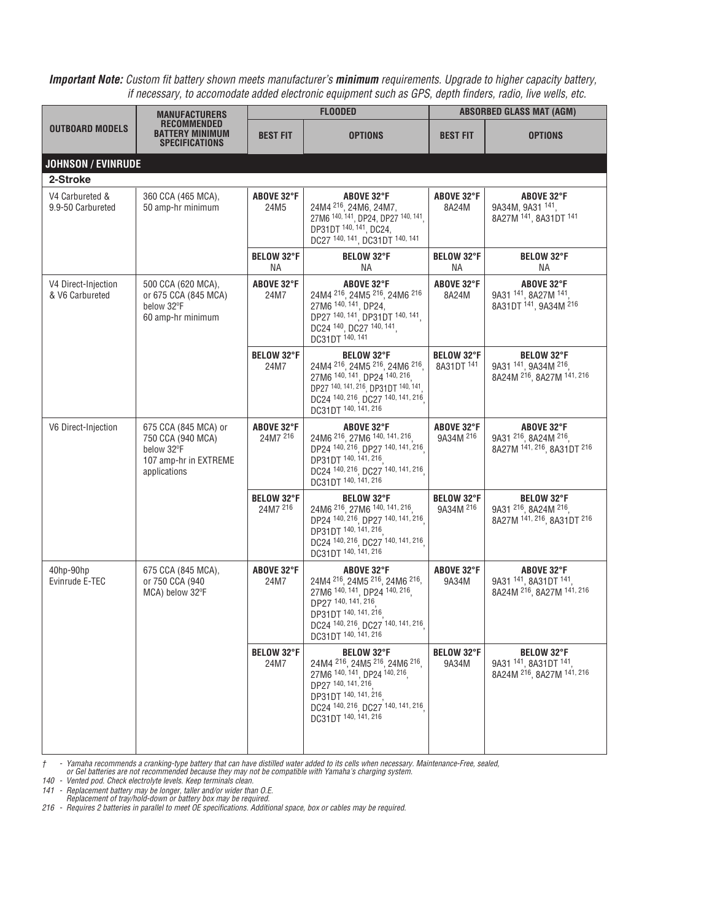| <b>OUTBOARD MODELS</b>                 | MANUFACTURERS<br>RECOMMENDED<br><b>BATTERY MINIMUM</b><br><b>SPECIFICATIONS</b>                  | <b>FLOODED</b>                    |                                                                                                                                                                                                | <b>ABSORBED GLASS MAT (AGM)</b> |                                                                         |
|----------------------------------------|--------------------------------------------------------------------------------------------------|-----------------------------------|------------------------------------------------------------------------------------------------------------------------------------------------------------------------------------------------|---------------------------------|-------------------------------------------------------------------------|
|                                        |                                                                                                  | BEST FIT                          | <b>OPTIONS</b>                                                                                                                                                                                 | <b>BEST FIT</b>                 | <b>OPTIONS</b>                                                          |
| <b>JOHNSON / EVINRUDE</b>              |                                                                                                  |                                   |                                                                                                                                                                                                |                                 |                                                                         |
| 2-Stroke                               |                                                                                                  |                                   |                                                                                                                                                                                                |                                 |                                                                         |
| V4 Carbureted &<br>9.9-50 Carbureted   | 360 CCA (465 MCA),<br>50 amp-hr minimum                                                          | ABOVE 32°F<br>24M5                | ABOVE 32°F<br>24M4 <sup>216</sup> , 24M6, 24M7,<br>27M6 140, 141, DP24, DP27 140, 141,<br>DP31DT 140, 141, DC24,<br>DC27 140, 141, DC31DT 140, 141                                             | ABOVE 32°F<br>8A24M             | ABOVE 32°F<br>9A34M, 9A31 141,<br>8A27M 141, 8A31DT 141                 |
|                                        |                                                                                                  | <b>BELOW 32°F</b><br>NА           | <b>BELOW 32°F</b><br>ΝA                                                                                                                                                                        | <b>BELOW 32°F</b><br><b>NA</b>  | <b>BELOW 32°F</b><br>NА                                                 |
| V4 Direct-Injection<br>& V6 Carbureted | 500 CCA (620 MCA),<br>or 675 CCA (845 MCA)<br>below 32°F<br>60 amp-hr minimum                    | ABOVE 32°F<br>24M7                | ABOVE 32°F<br>24M4 216, 24M5 216, 24M6 216<br>27M6 140, 141, DP24,<br>DP27 140, 141, DP31DT 140, 141,<br>DC24 140, DC27 140, 141,<br>DC31DT 140, 141                                           | ABOVE 32°F<br>8A24M             | ABOVE 32°F<br>9A31 141, 8A27M 141,<br>8A31DT 141, 9A34M 216             |
|                                        |                                                                                                  | <b>BELOW 32°F</b><br>24M7         | <b>BELOW 32°F</b><br>24M4 216, 24M5 216, 24M6 216,<br>27M6 140, 141, DP24 140, 216<br>DP27 140, 141, 216, DP31DT 140, 141.<br>DC24 140, 216, DC27 140, 141, 216<br>DC31DT 140, 141, 216        | <b>BELOW 32°F</b><br>8A31DT 141 | <b>BELOW 32°F</b><br>9A31 141, 9A34M 216,<br>8A24M 216, 8A27M 141, 216  |
| V6 Direct-Injection                    | 675 CCA (845 MCA) or<br>750 CCA (940 MCA)<br>below 32°F<br>107 amp-hr in EXTREME<br>applications | ABOVE 32°F<br>24M7 <sup>216</sup> | ABOVE 32°F<br>24M6 216, 27M6 140, 141, 216,<br>DP24 140, 216, DP27 140, 141, 216<br>DP31DT 140, 141, 216<br>DC24 140, 216, DC27 140, 141, 216<br>DC31DT 140, 141, 216                          | ABOVE 32°F<br>9A34M 216         | ABOVE 32°F<br>9A31 216, 8A24M 216,<br>8A27M 141, 216, 8A31DT 216        |
|                                        |                                                                                                  | <b>BELOW 32°F</b><br>24M7 216     | <b>BELOW 32°F</b><br>24M6 216, 27M6 140, 141, 216<br>DP24 140, 216, DP27 140, 141, 216<br>DP31DT 140, 141, 216<br>DC24 140, 216, DC27 140, 141, 216<br>DC31DT 140, 141, 216                    | <b>BELOW 32°F</b><br>9A34M 216  | <b>BELOW 32°F</b><br>9A31 216, 8A24M 216,<br>8A27M 141, 216, 8A31DT 216 |
| 40hp-90hp<br>Evinrude E-TEC            | 675 CCA (845 MCA),<br>or 750 CCA (940<br>MCA) below 32°F                                         | ABOVE 32°F<br>24M7                | ABOVE 32°F<br>24M4 216, 24M5 216, 24M6 216,<br>27M6 140, 141, DP24 140, 216<br>DP27 140, 141, 216<br>DP31DT 140, 141, 216<br>DC24 140, 216, DC27 140, 141, 216<br>DC31DT 140, 141, 216         | ABOVE 32°F<br>9A34M             | ABOVE 32°F<br>9A31 141, 8A31DT 141,<br>8A24M 216, 8A27M 141, 216        |
|                                        |                                                                                                  | <b>BELOW 32°F</b><br>24M7         | <b>BELOW 32°F</b><br>24M4 216, 24M5 216, 24M6 216,<br>27M6 140, 141, DP24 140, 216,<br>DP27 140, 141, 216<br>DP31DT 140, 141, 216<br>DC24 140, 216, DC27 140, 141, 216<br>DC31DT 140, 141, 216 | <b>BELOW 32°F</b><br>9A34M      | <b>BELOW 32°F</b><br>9A31 141, 8A31DT 141,<br>8A24M 216, 8A27M 141, 216 |

† - Yamaha recommends a cranking-type battery that can have distilled water added to its cells when necessary. Maintenance-Free, sealed,<br>or Gel batteries are not recommended because they may not be compatible with Yamaha's

*140 - Vented pod. Check electrolyte levels. Keep terminals clean.*

141 - Replacement battery may be longer, taller and/or wider than O.E.<br>Replacement of tray/hold-down or battery box may be required.